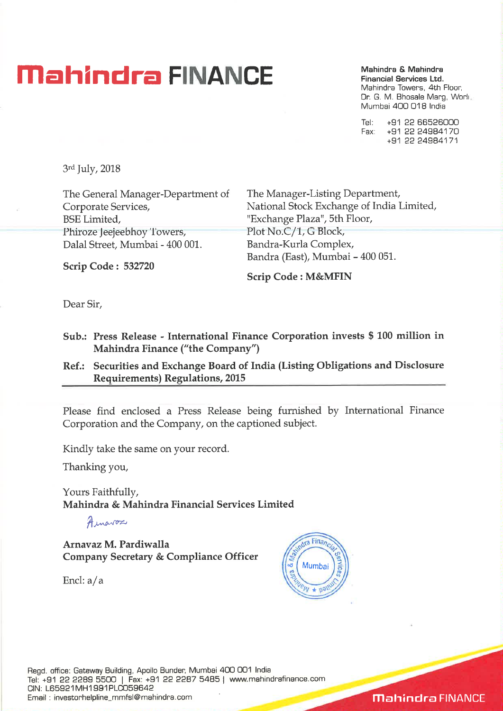# **Mahindra FINANCE** Mahindra & Mahindra **C**

**Financial Services Ltd.**  Mahindra Towers, 4th Floor, Dr. G. M. Bhosale Marg, Worli Mumbai 400 018 India

Tel: +91 22 66526000 Fax: +91 22 24984170 +91 22 24984171

3rd July, 2018

The General Manager-Department of The Manager-Listing Department, BSE Limited, The Mass of Texchange Plaza", 5th Floor, Phiroze Jeejeebhoy Towers, Plot No.C/1, G Block, Dalal Street, Mumbai - 400 001. Bandra-Kurla Complex,

Corporate Services, National Stock Exchange of India Limited, Bandra (East), Mumbai - 400 051.

**Scrip Code : 532720** 

**Scrip Code : M&MFIN** 

Dear Sir,

- **Sub.: Press Release International Finance Corporation invests \$ 100 million in Mahindra Finance ("the Company")**
- **Ref.: Securities and Exchange Board of India (Listing Obligations and Disclosure Requirements) Regulations, 2015**

Please find enclosed a Press Release being furnished by International Finance Corporation and the Company, on the captioned subject.

Kindly take the same on your record.

Thanking you,

Yours Faithfully, **Mahindra & Mahindra Financial Services Limited** 

Ainavos

**Arnavaz M. Pardiwalla Company Secretary & Compliance Officer** 

Encl: a/a



Regd. office: Gateway Building, Apollo Bunder, Mumbai 400 001 India Tel: +91 22 2289 5500 | Fax: +91 22 2287 5485 | www.mahindrafinance.com CIN: L65921MH1991PLC059642 Email : investorhelpline\_mmfsl@mahindra.com

**Mahindra FINANCE**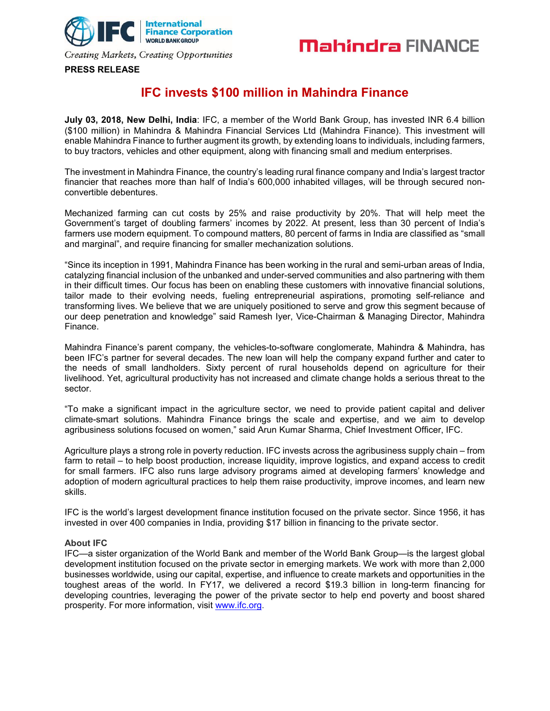



### **PRESS RELEASE**

### **IFC invests \$100 million in Mahindra Finance**

**July 03, 2018, New Delhi, India**: IFC, a member of the World Bank Group, has invested INR 6.4 billion (\$100 million) in Mahindra & Mahindra Financial Services Ltd (Mahindra Finance). This investment will enable Mahindra Finance to further augment its growth, by extending loans to individuals, including farmers, to buy tractors, vehicles and other equipment, along with financing small and medium enterprises.

The investment in Mahindra Finance, the country's leading rural finance company and India's largest tractor financier that reaches more than half of India's 600,000 inhabited villages, will be through secured nonconvertible debentures.

Mechanized farming can cut costs by 25% and raise productivity by 20%. That will help meet the Government's target of doubling farmers' incomes by 2022. At present, less than 30 percent of India's farmers use modern equipment. To compound matters, 80 percent of farms in India are classified as "small and marginal", and require financing for smaller mechanization solutions.

"Since its inception in 1991, Mahindra Finance has been working in the rural and semi-urban areas of India, catalyzing financial inclusion of the unbanked and under-served communities and also partnering with them in their difficult times. Our focus has been on enabling these customers with innovative financial solutions, tailor made to their evolving needs, fueling entrepreneurial aspirations, promoting self-reliance and transforming lives. We believe that we are uniquely positioned to serve and grow this segment because of our deep penetration and knowledge" said Ramesh Iyer, Vice-Chairman & Managing Director, Mahindra Finance.

Mahindra Finance's parent company, the vehicles-to-software conglomerate, Mahindra & Mahindra, has been IFC's partner for several decades. The new loan will help the company expand further and cater to the needs of small landholders. Sixty percent of rural households depend on agriculture for their livelihood. Yet, agricultural productivity has not increased and climate change holds a serious threat to the sector.

"To make a significant impact in the agriculture sector, we need to provide patient capital and deliver climate-smart solutions. Mahindra Finance brings the scale and expertise, and we aim to develop agribusiness solutions focused on women," said Arun Kumar Sharma, Chief Investment Officer, IFC.

Agriculture plays a strong role in poverty reduction. IFC invests across the agribusiness supply chain – from farm to retail – to help boost production, increase liquidity, improve logistics, and expand access to credit for small farmers. IFC also runs large advisory programs aimed at developing farmers' knowledge and adoption of modern agricultural practices to help them raise productivity, improve incomes, and learn new skills.

IFC is the world's largest development finance institution focused on the private sector. Since 1956, it has invested in over 400 companies in India, providing \$17 billion in financing to the private sector.

### **About IFC**

IFC—a sister organization of the World Bank and member of the World Bank Group—is the largest global development institution focused on the private sector in emerging markets. We work with more than 2,000 businesses worldwide, using our capital, expertise, and influence to create markets and opportunities in the toughest areas of the world. In FY17, we delivered a record \$19.3 billion in long-term financing for developing countries, leveraging the power of the private sector to help end poverty and boost shared prosperity. For more information, visit www.ifc.org.